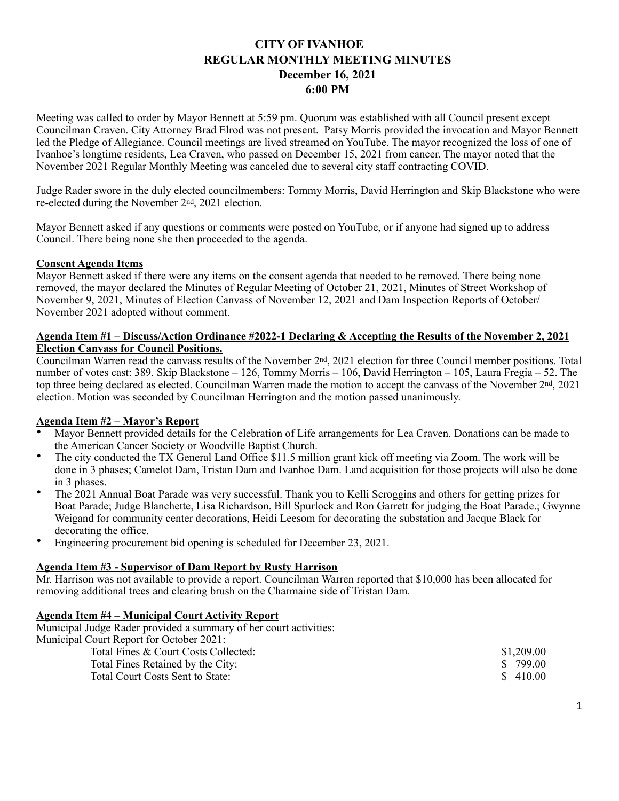# **CITY OF IVANHOE REGULAR MONTHLY MEETING MINUTES December 16, 2021 6:00 PM**

Meeting was called to order by Mayor Bennett at 5:59 pm. Quorum was established with all Council present except Councilman Craven. City Attorney Brad Elrod was not present. Patsy Morris provided the invocation and Mayor Bennett led the Pledge of Allegiance. Council meetings are lived streamed on YouTube. The mayor recognized the loss of one of Ivanhoe's longtime residents, Lea Craven, who passed on December 15, 2021 from cancer. The mayor noted that the November 2021 Regular Monthly Meeting was canceled due to several city staff contracting COVID.

Judge Rader swore in the duly elected councilmembers: Tommy Morris, David Herrington and Skip Blackstone who were re-elected during the November 2nd, 2021 election.

Mayor Bennett asked if any questions or comments were posted on YouTube, or if anyone had signed up to address Council. There being none she then proceeded to the agenda.

## **Consent Agenda Items**

Mayor Bennett asked if there were any items on the consent agenda that needed to be removed. There being none removed, the mayor declared the Minutes of Regular Meeting of October 21, 2021, Minutes of Street Workshop of November 9, 2021, Minutes of Election Canvass of November 12, 2021 and Dam Inspection Reports of October/ November 2021 adopted without comment.

## **Agenda Item #1 – Discuss/Action Ordinance #2022-1 Declaring & Accepting the Results of the November 2, 2021 Election Canvass for Council Positions.**

Councilman Warren read the canvass results of the November 2nd, 2021 election for three Council member positions. Total number of votes cast: 389. Skip Blackstone – 126, Tommy Morris – 106, David Herrington – 105, Laura Fregia – 52. The top three being declared as elected. Councilman Warren made the motion to accept the canvass of the November 2nd, 2021 election. Motion was seconded by Councilman Herrington and the motion passed unanimously.

## **Agenda Item #2 – Mayor's Report**

- Mayor Bennett provided details for the Celebration of Life arrangements for Lea Craven. Donations can be made to the American Cancer Society or Woodville Baptist Church.
- The city conducted the TX General Land Office \$11.5 million grant kick off meeting via Zoom. The work will be done in 3 phases; Camelot Dam, Tristan Dam and Ivanhoe Dam. Land acquisition for those projects will also be done in 3 phases.
- The 2021 Annual Boat Parade was very successful. Thank you to Kelli Scroggins and others for getting prizes for Boat Parade; Judge Blanchette, Lisa Richardson, Bill Spurlock and Ron Garrett for judging the Boat Parade.; Gwynne Weigand for community center decorations, Heidi Leesom for decorating the substation and Jacque Black for decorating the office.
- Engineering procurement bid opening is scheduled for December 23, 2021.

## **Agenda Item #3 - Supervisor of Dam Report by Rusty Harrison**

Mr. Harrison was not available to provide a report. Councilman Warren reported that \$10,000 has been allocated for removing additional trees and clearing brush on the Charmaine side of Tristan Dam.

#### **Agenda Item #4 – Municipal Court Activity Report**

Municipal Judge Rader provided a summary of her court activities:

Municipal Court Report for October 2021:

| \$1,209.00 |
|------------|
| \$ 799.00  |
| \$ 410.00  |
|            |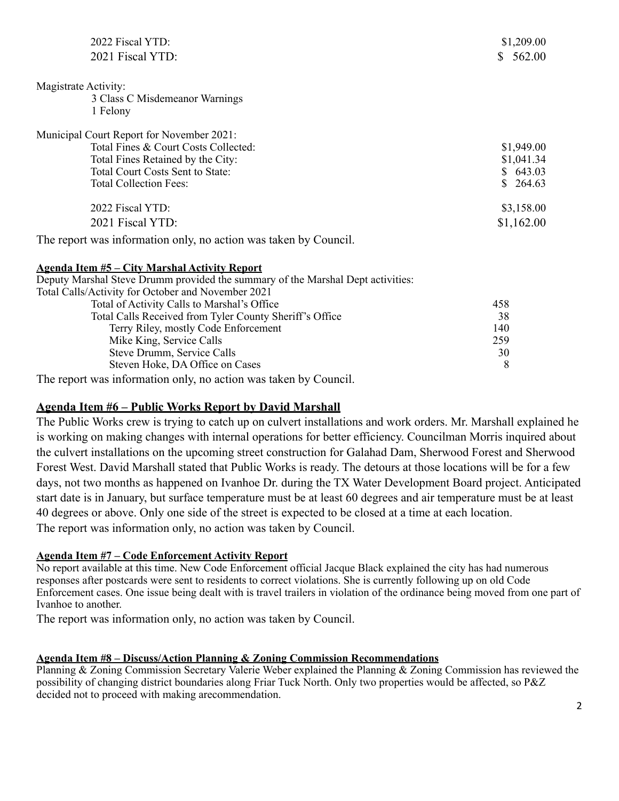| 2022 Fiscal YTD:                                                                | \$1,209.00 |
|---------------------------------------------------------------------------------|------------|
| 2021 Fiscal YTD:                                                                | \$562.00   |
| Magistrate Activity:                                                            |            |
| 3 Class C Misdemeanor Warnings                                                  |            |
| 1 Felony                                                                        |            |
| Municipal Court Report for November 2021:                                       |            |
| Total Fines & Court Costs Collected:                                            | \$1,949.00 |
| Total Fines Retained by the City:                                               | \$1,041.34 |
| Total Court Costs Sent to State:                                                | \$643.03   |
| <b>Total Collection Fees:</b>                                                   | \$264.63   |
| 2022 Fiscal YTD:                                                                | \$3,158.00 |
| 2021 Fiscal YTD:                                                                | \$1,162.00 |
| The report was information only, no action was taken by Council.                |            |
| <b>Agenda Item #5 – City Marshal Activity Report</b>                            |            |
| Deputy Marshal Steve Drumm provided the summary of the Marshal Dept activities: |            |
| Total Calls/Activity for October and November 2021                              |            |
| Total of Activity Calls to Marshal's Office                                     | 458        |
| Total Calls Received from Tyler County Sheriff's Office                         | 38         |
| Terry Riley, mostly Code Enforcement                                            | 140        |
| Mike King, Service Calls                                                        | 259        |
| Steve Drumm, Service Calls                                                      | 30         |
| Steven Hoke, DA Office on Cases                                                 | 8          |

The report was information only, no action was taken by Council.

# **Agenda Item #6 – Public Works Report by David Marshall**

The Public Works crew is trying to catch up on culvert installations and work orders. Mr. Marshall explained he is working on making changes with internal operations for better efficiency. Councilman Morris inquired about the culvert installations on the upcoming street construction for Galahad Dam, Sherwood Forest and Sherwood Forest West. David Marshall stated that Public Works is ready. The detours at those locations will be for a few days, not two months as happened on Ivanhoe Dr. during the TX Water Development Board project. Anticipated start date is in January, but surface temperature must be at least 60 degrees and air temperature must be at least 40 degrees or above. Only one side of the street is expected to be closed at a time at each location. The report was information only, no action was taken by Council.

# **Agenda Item #7 – Code Enforcement Activity Report**

No report available at this time. New Code Enforcement official Jacque Black explained the city has had numerous responses after postcards were sent to residents to correct violations. She is currently following up on old Code Enforcement cases. One issue being dealt with is travel trailers in violation of the ordinance being moved from one part of Ivanhoe to another.

The report was information only, no action was taken by Council.

# **Agenda Item #8 – Discuss/Action Planning & Zoning Commission Recommendations**

Planning & Zoning Commission Secretary Valerie Weber explained the Planning & Zoning Commission has reviewed the possibility of changing district boundaries along Friar Tuck North. Only two properties would be affected, so P&Z decided not to proceed with making arecommendation.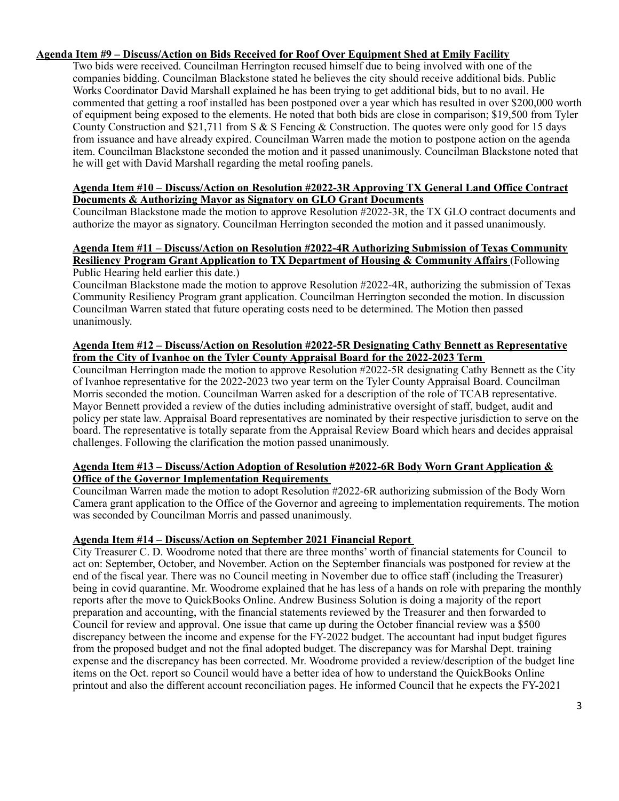## **Agenda Item #9 – Discuss/Action on Bids Received for Roof Over Equipment Shed at Emily Facility**

Two bids were received. Councilman Herrington recused himself due to being involved with one of the companies bidding. Councilman Blackstone stated he believes the city should receive additional bids. Public Works Coordinator David Marshall explained he has been trying to get additional bids, but to no avail. He commented that getting a roof installed has been postponed over a year which has resulted in over \$200,000 worth of equipment being exposed to the elements. He noted that both bids are close in comparison; \$19,500 from Tyler County Construction and \$21,711 from S  $\&$  S Fencing  $\&$  Construction. The quotes were only good for 15 days from issuance and have already expired. Councilman Warren made the motion to postpone action on the agenda item. Councilman Blackstone seconded the motion and it passed unanimously. Councilman Blackstone noted that he will get with David Marshall regarding the metal roofing panels.

#### **Agenda Item #10 – Discuss/Action on Resolution #2022-3R Approving TX General Land Office Contract Documents & Authorizing Mayor as Signatory on GLO Grant Documents**

Councilman Blackstone made the motion to approve Resolution #2022-3R, the TX GLO contract documents and authorize the mayor as signatory. Councilman Herrington seconded the motion and it passed unanimously.

#### **Agenda Item #11 – Discuss/Action on Resolution #2022-4R Authorizing Submission of Texas Community Resiliency Program Grant Application to TX Department of Housing & Community Affairs** (Following Public Hearing held earlier this date.)

Councilman Blackstone made the motion to approve Resolution #2022-4R, authorizing the submission of Texas Community Resiliency Program grant application. Councilman Herrington seconded the motion. In discussion Councilman Warren stated that future operating costs need to be determined. The Motion then passed unanimously.

#### **Agenda Item #12 – Discuss/Action on Resolution #2022-5R Designating Cathy Bennett as Representative from the City of Ivanhoe on the Tyler County Appraisal Board for the 2022-2023 Term**

Councilman Herrington made the motion to approve Resolution #2022-5R designating Cathy Bennett as the City of Ivanhoe representative for the 2022-2023 two year term on the Tyler County Appraisal Board. Councilman Morris seconded the motion. Councilman Warren asked for a description of the role of TCAB representative. Mayor Bennett provided a review of the duties including administrative oversight of staff, budget, audit and policy per state law. Appraisal Board representatives are nominated by their respective jurisdiction to serve on the board. The representative is totally separate from the Appraisal Review Board which hears and decides appraisal challenges. Following the clarification the motion passed unanimously.

## **Agenda Item #13 – Discuss/Action Adoption of Resolution #2022-6R Body Worn Grant Application & Office of the Governor Implementation Requirements**

Councilman Warren made the motion to adopt Resolution #2022-6R authorizing submission of the Body Worn Camera grant application to the Office of the Governor and agreeing to implementation requirements. The motion was seconded by Councilman Morris and passed unanimously.

# **Agenda Item #14 – Discuss/Action on September 2021 Financial Report**

City Treasurer C. D. Woodrome noted that there are three months' worth of financial statements for Council to act on: September, October, and November. Action on the September financials was postponed for review at the end of the fiscal year. There was no Council meeting in November due to office staff (including the Treasurer) being in covid quarantine. Mr. Woodrome explained that he has less of a hands on role with preparing the monthly reports after the move to QuickBooks Online. Andrew Business Solution is doing a majority of the report preparation and accounting, with the financial statements reviewed by the Treasurer and then forwarded to Council for review and approval. One issue that came up during the October financial review was a \$500 discrepancy between the income and expense for the FY-2022 budget. The accountant had input budget figures from the proposed budget and not the final adopted budget. The discrepancy was for Marshal Dept. training expense and the discrepancy has been corrected. Mr. Woodrome provided a review/description of the budget line items on the Oct. report so Council would have a better idea of how to understand the QuickBooks Online printout and also the different account reconciliation pages. He informed Council that he expects the FY-2021